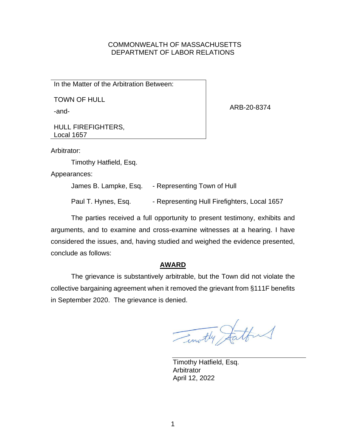### COMMONWEALTH OF MASSACHUSETTS DEPARTMENT OF LABOR RELATIONS

In the Matter of the Arbitration Between:

TOWN OF HULL

-and-

ARB-20-8374

HULL FIREFIGHTERS, Local 1657

Arbitrator:

Timothy Hatfield, Esq.

Appearances:

James B. Lampke, Esq. - Representing Town of Hull

Paul T. Hynes, Esq. - Representing Hull Firefighters, Local 1657

The parties received a full opportunity to present testimony, exhibits and arguments, and to examine and cross-examine witnesses at a hearing. I have considered the issues, and, having studied and weighed the evidence presented, conclude as follows:

## **AWARD**

The grievance is substantively arbitrable, but the Town did not violate the collective bargaining agreement when it removed the grievant from §111F benefits in September 2020. The grievance is denied.

Timothy Statten

Timothy Hatfield, Esq. **Arbitrator** April 12, 2022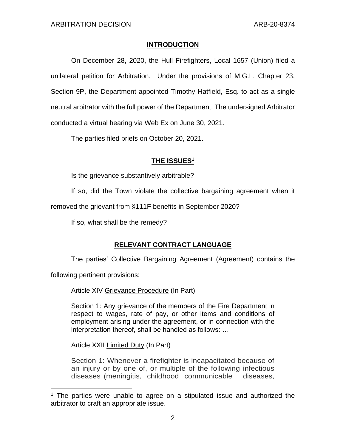## **INTRODUCTION**

On December 28, 2020, the Hull Firefighters, Local 1657 (Union) filed a unilateral petition for Arbitration. Under the provisions of M.G.L. Chapter 23, Section 9P, the Department appointed Timothy Hatfield, Esq. to act as a single neutral arbitrator with the full power of the Department. The undersigned Arbitrator conducted a virtual hearing via Web Ex on June 30, 2021.

The parties filed briefs on October 20, 2021.

# **THE ISSUES 1**

Is the grievance substantively arbitrable?

If so, did the Town violate the collective bargaining agreement when it

removed the grievant from §111F benefits in September 2020?

If so, what shall be the remedy?

# **RELEVANT CONTRACT LANGUAGE**

The parties' Collective Bargaining Agreement (Agreement) contains the

following pertinent provisions:

Article XIV Grievance Procedure (In Part)

Section 1: Any grievance of the members of the Fire Department in respect to wages, rate of pay, or other items and conditions of employment arising under the agreement, or in connection with the interpretation thereof, shall be handled as follows: …

Article XXII Limited Duty (In Part)

Section 1: Whenever a firefighter is incapacitated because of an injury or by one of, or multiple of the following infectious diseases (meningitis, childhood communicable diseases,

 $1$  The parties were unable to agree on a stipulated issue and authorized the arbitrator to craft an appropriate issue.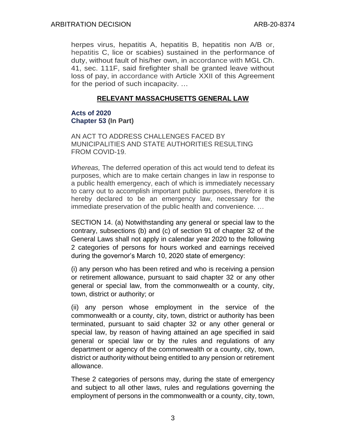herpes virus, hepatitis A, hepatitis B, hepatitis non A/B or, hepatitis C, lice or scabies) sustained in the performance of duty, without fault of his/her own, in accordance with MGL Ch. 41, sec. 111F, said firefighter shall be granted leave without loss of pay, in accordance with Article XXII of this Agreement for the period of such incapacity. …

## **RELEVANT MASSACHUSETTS GENERAL LAW**

## **Acts of 2020 Chapter 53 (In Part)**

AN ACT TO ADDRESS CHALLENGES FACED BY MUNICIPALITIES AND STATE AUTHORITIES RESULTING FROM COVID-19.

*Whereas,* The deferred operation of this act would tend to defeat its purposes, which are to make certain changes in law in response to a public health emergency, each of which is immediately necessary to carry out to accomplish important public purposes, therefore it is hereby declared to be an emergency law, necessary for the immediate preservation of the public health and convenience. …

SECTION 14. (a) Notwithstanding any general or special law to the contrary, subsections (b) and (c) of section 91 of chapter 32 of the General Laws shall not apply in calendar year 2020 to the following 2 categories of persons for hours worked and earnings received during the governor's March 10, 2020 state of emergency:

(i) any person who has been retired and who is receiving a pension or retirement allowance, pursuant to said chapter 32 or any other general or special law, from the commonwealth or a county, city, town, district or authority; or

(ii) any person whose employment in the service of the commonwealth or a county, city, town, district or authority has been terminated, pursuant to said chapter 32 or any other general or special law, by reason of having attained an age specified in said general or special law or by the rules and regulations of any department or agency of the commonwealth or a county, city, town, district or authority without being entitled to any pension or retirement allowance.

These 2 categories of persons may, during the state of emergency and subject to all other laws, rules and regulations governing the employment of persons in the commonwealth or a county, city, town,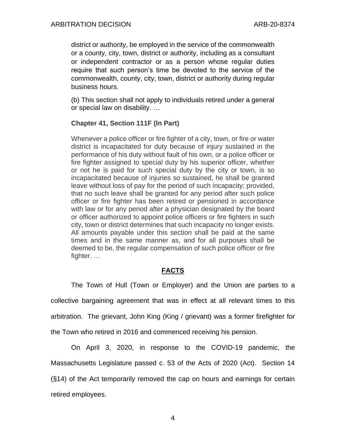district or authority, be employed in the service of the commonwealth or a county, city, town, district or authority, including as a consultant or independent contractor or as a person whose regular duties require that such person's time be devoted to the service of the commonwealth, county, city, town, district or authority during regular business hours.

(b) This section shall not apply to individuals retired under a general or special law on disability. …

## **Chapter 41, Section 111F (In Part)**

Whenever a police officer or fire fighter of a city, town, or fire or water district is incapacitated for duty because of injury sustained in the performance of his duty without fault of his own, or a police officer or fire fighter assigned to special duty by his superior officer, whether or not he is paid for such special duty by the city or town, is so incapacitated because of injuries so sustained, he shall be granted leave without loss of pay for the period of such incapacity; provided, that no such leave shall be granted for any period after such police officer or fire fighter has been retired or pensioned in accordance with law or for any period after a physician designated by the board or officer authorized to appoint police officers or fire fighters in such city, town or district determines that such incapacity no longer exists. All amounts payable under this section shall be paid at the same times and in the same manner as, and for all purposes shall be deemed to be, the regular compensation of such police officer or fire fighter. …

# **FACTS**

The Town of Hull (Town or Employer) and the Union are parties to a collective bargaining agreement that was in effect at all relevant times to this arbitration. The grievant, John King (King / grievant) was a former firefighter for the Town who retired in 2016 and commenced receiving his pension.

On April 3, 2020, in response to the COVID-19 pandemic, the Massachusetts Legislature passed c. 53 of the Acts of 2020 (Act). Section 14 (§14) of the Act temporarily removed the cap on hours and earnings for certain retired employees.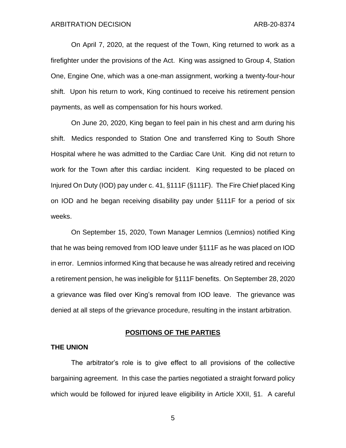On April 7, 2020, at the request of the Town, King returned to work as a firefighter under the provisions of the Act. King was assigned to Group 4, Station One, Engine One, which was a one-man assignment, working a twenty-four-hour shift. Upon his return to work, King continued to receive his retirement pension payments, as well as compensation for his hours worked.

On June 20, 2020, King began to feel pain in his chest and arm during his shift. Medics responded to Station One and transferred King to South Shore Hospital where he was admitted to the Cardiac Care Unit. King did not return to work for the Town after this cardiac incident. King requested to be placed on Injured On Duty (IOD) pay under c. 41, §111F (§111F). The Fire Chief placed King on IOD and he began receiving disability pay under §111F for a period of six weeks.

On September 15, 2020, Town Manager Lemnios (Lemnios) notified King that he was being removed from IOD leave under §111F as he was placed on IOD in error. Lemnios informed King that because he was already retired and receiving a retirement pension, he was ineligible for §111F benefits. On September 28, 2020 a grievance was filed over King's removal from IOD leave. The grievance was denied at all steps of the grievance procedure, resulting in the instant arbitration.

### **POSITIONS OF THE PARTIES**

### **THE UNION**

The arbitrator's role is to give effect to all provisions of the collective bargaining agreement. In this case the parties negotiated a straight forward policy which would be followed for injured leave eligibility in Article XXII, §1. A careful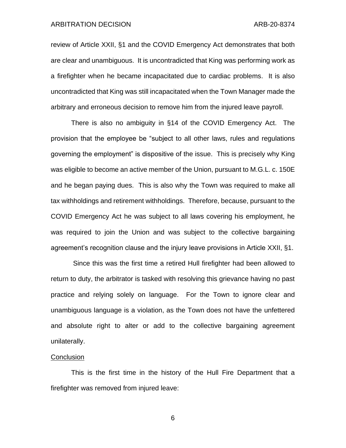#### ARBITRATION DECISION ARB-20-8374

review of Article XXII, §1 and the COVID Emergency Act demonstrates that both are clear and unambiguous. It is uncontradicted that King was performing work as a firefighter when he became incapacitated due to cardiac problems. It is also uncontradicted that King was still incapacitated when the Town Manager made the arbitrary and erroneous decision to remove him from the injured leave payroll.

There is also no ambiguity in §14 of the COVID Emergency Act. The provision that the employee be "subject to all other laws, rules and regulations governing the employment" is dispositive of the issue. This is precisely why King was eligible to become an active member of the Union, pursuant to M.G.L. c. 150E and he began paying dues. This is also why the Town was required to make all tax withholdings and retirement withholdings. Therefore, because, pursuant to the COVID Emergency Act he was subject to all laws covering his employment, he was required to join the Union and was subject to the collective bargaining agreement's recognition clause and the injury leave provisions in Article XXII, §1.

Since this was the first time a retired Hull firefighter had been allowed to return to duty, the arbitrator is tasked with resolving this grievance having no past practice and relying solely on language. For the Town to ignore clear and unambiguous language is a violation, as the Town does not have the unfettered and absolute right to alter or add to the collective bargaining agreement unilaterally.

#### **Conclusion**

This is the first time in the history of the Hull Fire Department that a firefighter was removed from injured leave: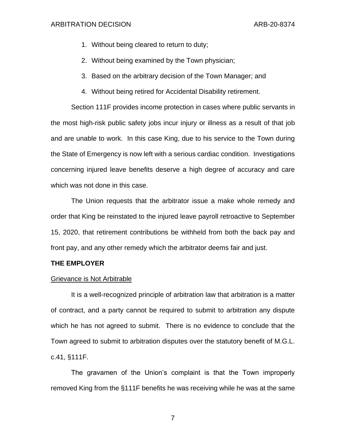- 1. Without being cleared to return to duty;
- 2. Without being examined by the Town physician;
- 3. Based on the arbitrary decision of the Town Manager; and
- 4. Without being retired for Accidental Disability retirement.

Section 111F provides income protection in cases where public servants in the most high-risk public safety jobs incur injury or illness as a result of that job and are unable to work. In this case King, due to his service to the Town during the State of Emergency is now left with a serious cardiac condition. Investigations concerning injured leave benefits deserve a high degree of accuracy and care which was not done in this case.

The Union requests that the arbitrator issue a make whole remedy and order that King be reinstated to the injured leave payroll retroactive to September 15, 2020, that retirement contributions be withheld from both the back pay and front pay, and any other remedy which the arbitrator deems fair and just.

### **THE EMPLOYER**

### Grievance is Not Arbitrable

It is a well-recognized principle of arbitration law that arbitration is a matter of contract, and a party cannot be required to submit to arbitration any dispute which he has not agreed to submit. There is no evidence to conclude that the Town agreed to submit to arbitration disputes over the statutory benefit of M.G.L. c.41, §111F.

The gravamen of the Union's complaint is that the Town improperly removed King from the §111F benefits he was receiving while he was at the same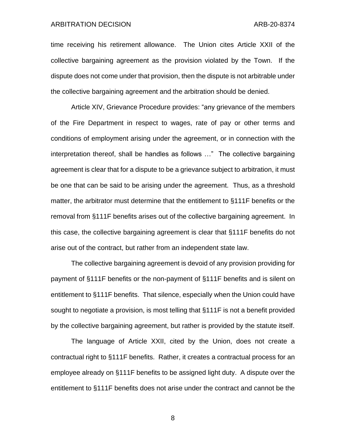#### ARBITRATION DECISION ARB-20-8374

time receiving his retirement allowance. The Union cites Article XXII of the collective bargaining agreement as the provision violated by the Town. If the dispute does not come under that provision, then the dispute is not arbitrable under the collective bargaining agreement and the arbitration should be denied.

Article XIV, Grievance Procedure provides: "any grievance of the members of the Fire Department in respect to wages, rate of pay or other terms and conditions of employment arising under the agreement, or in connection with the interpretation thereof, shall be handles as follows …" The collective bargaining agreement is clear that for a dispute to be a grievance subject to arbitration, it must be one that can be said to be arising under the agreement. Thus, as a threshold matter, the arbitrator must determine that the entitlement to §111F benefits or the removal from §111F benefits arises out of the collective bargaining agreement. In this case, the collective bargaining agreement is clear that §111F benefits do not arise out of the contract, but rather from an independent state law.

The collective bargaining agreement is devoid of any provision providing for payment of §111F benefits or the non-payment of §111F benefits and is silent on entitlement to §111F benefits. That silence, especially when the Union could have sought to negotiate a provision, is most telling that §111F is not a benefit provided by the collective bargaining agreement, but rather is provided by the statute itself.

The language of Article XXII, cited by the Union, does not create a contractual right to §111F benefits. Rather, it creates a contractual process for an employee already on §111F benefits to be assigned light duty. A dispute over the entitlement to §111F benefits does not arise under the contract and cannot be the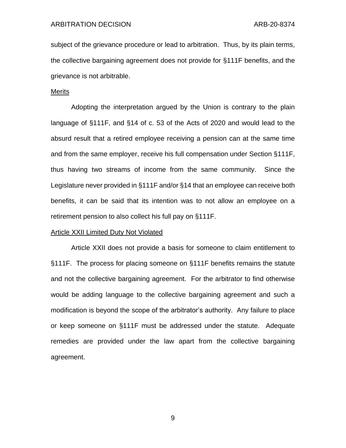subject of the grievance procedure or lead to arbitration. Thus, by its plain terms, the collective bargaining agreement does not provide for §111F benefits, and the grievance is not arbitrable.

#### Merits

Adopting the interpretation argued by the Union is contrary to the plain language of §111F, and §14 of c. 53 of the Acts of 2020 and would lead to the absurd result that a retired employee receiving a pension can at the same time and from the same employer, receive his full compensation under Section §111F, thus having two streams of income from the same community. Since the Legislature never provided in §111F and/or §14 that an employee can receive both benefits, it can be said that its intention was to not allow an employee on a retirement pension to also collect his full pay on §111F.

#### Article XXII Limited Duty Not Violated

Article XXII does not provide a basis for someone to claim entitlement to §111F. The process for placing someone on §111F benefits remains the statute and not the collective bargaining agreement. For the arbitrator to find otherwise would be adding language to the collective bargaining agreement and such a modification is beyond the scope of the arbitrator's authority. Any failure to place or keep someone on §111F must be addressed under the statute. Adequate remedies are provided under the law apart from the collective bargaining agreement.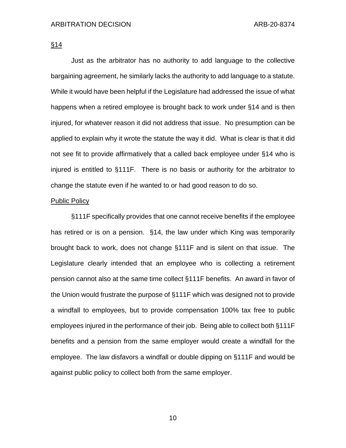§14

Just as the arbitrator has no authority to add language to the collective bargaining agreement, he similarly lacks the authority to add language to a statute. While it would have been helpful if the Legislature had addressed the issue of what happens when a retired employee is brought back to work under §14 and is then injured, for whatever reason it did not address that issue. No presumption can be applied to explain why it wrote the statute the way it did. What is clear is that it did not see fit to provide affirmatively that a called back employee under §14 who is injured is entitled to §111F. There is no basis or authority for the arbitrator to change the statute even if he wanted to or had good reason to do so.

#### Public Policy

§111F specifically provides that one cannot receive benefits if the employee has retired or is on a pension. §14, the law under which King was temporarily brought back to work, does not change §111F and is silent on that issue. The Legislature clearly intended that an employee who is collecting a retirement pension cannot also at the same time collect §111F benefits. An award in favor of the Union would frustrate the purpose of §111F which was designed not to provide a windfall to employees, but to provide compensation 100% tax free to public employees injured in the performance of their job. Being able to collect both §111F benefits and a pension from the same employer would create a windfall for the employee. The law disfavors a windfall or double dipping on §111F and would be against public policy to collect both from the same employer.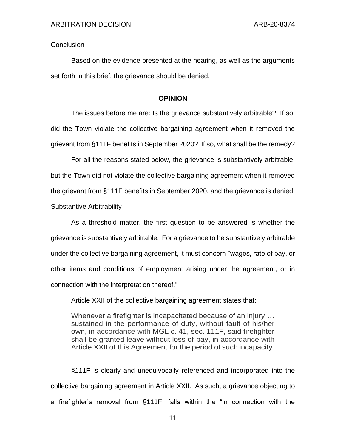### **Conclusion**

Based on the evidence presented at the hearing, as well as the arguments set forth in this brief, the grievance should be denied.

### **OPINION**

The issues before me are: Is the grievance substantively arbitrable? If so, did the Town violate the collective bargaining agreement when it removed the grievant from §111F benefits in September 2020? If so, what shall be the remedy?

For all the reasons stated below, the grievance is substantively arbitrable, but the Town did not violate the collective bargaining agreement when it removed the grievant from §111F benefits in September 2020, and the grievance is denied.

### Substantive Arbitrability

As a threshold matter, the first question to be answered is whether the grievance is substantively arbitrable. For a grievance to be substantively arbitrable under the collective bargaining agreement, it must concern "wages, rate of pay, or other items and conditions of employment arising under the agreement, or in connection with the interpretation thereof."

Article XXII of the collective bargaining agreement states that:

Whenever a firefighter is incapacitated because of an injury … sustained in the performance of duty, without fault of his/her own, in accordance with MGL c. 41, sec. 111F, said firefighter shall be granted leave without loss of pay, in accordance with Article XXII of this Agreement for the period of such incapacity.

§111F is clearly and unequivocally referenced and incorporated into the collective bargaining agreement in Article XXII. As such, a grievance objecting to a firefighter's removal from §111F, falls within the "in connection with the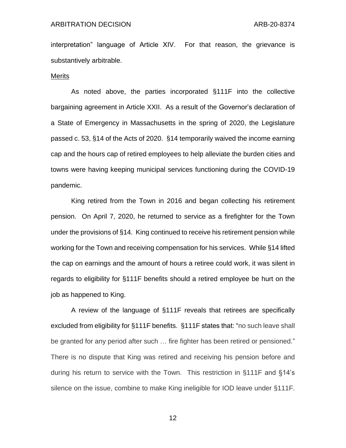interpretation" language of Article XIV. For that reason, the grievance is substantively arbitrable.

#### Merits

As noted above, the parties incorporated §111F into the collective bargaining agreement in Article XXII. As a result of the Governor's declaration of a State of Emergency in Massachusetts in the spring of 2020, the Legislature passed c. 53, §14 of the Acts of 2020. §14 temporarily waived the income earning cap and the hours cap of retired employees to help alleviate the burden cities and towns were having keeping municipal services functioning during the COVID-19 pandemic.

King retired from the Town in 2016 and began collecting his retirement pension. On April 7, 2020, he returned to service as a firefighter for the Town under the provisions of §14. King continued to receive his retirement pension while working for the Town and receiving compensation for his services. While §14 lifted the cap on earnings and the amount of hours a retiree could work, it was silent in regards to eligibility for §111F benefits should a retired employee be hurt on the job as happened to King.

A review of the language of §111F reveals that retirees are specifically excluded from eligibility for §111F benefits. §111F states that: "no such leave shall be granted for any period after such … fire fighter has been retired or pensioned." There is no dispute that King was retired and receiving his pension before and during his return to service with the Town. This restriction in §111F and §14's silence on the issue, combine to make King ineligible for IOD leave under §111F.